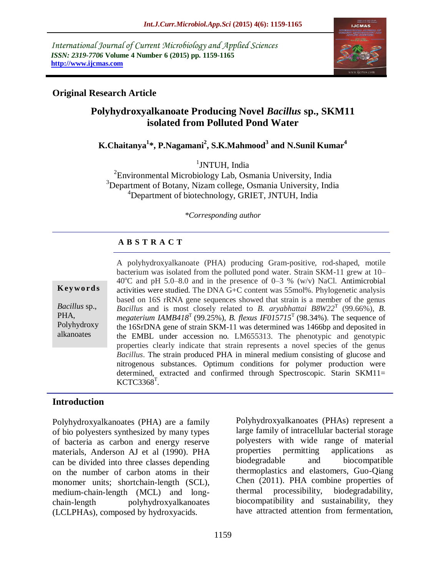*International Journal of Current Microbiology and Applied Sciences ISSN: 2319-7706* **Volume 4 Number 6 (2015) pp. 1159-1165 http://www.ijcmas.com** 



# **Original Research Article**

# **Polyhydroxyalkanoate Producing Novel** *Bacillus* **sp., SKM11 isolated from Polluted Pond Water**

**K.Chaitanya<sup>1</sup> \*, P.Nagamani<sup>2</sup> , S.K.Mahmood<sup>3</sup> and N.Sunil Kumar<sup>4</sup>**

<sup>1</sup>JNTUH, India

<sup>2</sup> Environmental Microbiology Lab, Osmania University, India <sup>3</sup>Department of Botany, Nizam college, Osmania University, India <sup>4</sup>Department of biotechnology, GRIET, JNTUH, India

*\*Corresponding author*

### **A B S T R A C T**

#### **K ey w o rd s**

*Bacillus* sp., PHA, Polyhydroxy alkanoates

A polyhydroxyalkanoate (PHA) producing Gram-positive, rod-shaped, motile bacterium was isolated from the polluted pond water. Strain SKM-11 grew at 10–  $40^{\circ}$ C and pH 5.0–8.0 and in the presence of 0–3 % (w/v) NaCl. Antimicrobial activities were studied. The DNA G+C content was 55mol%. Phylogenetic analysis based on 16S rRNA gene sequences showed that strain is a member of the genus *Bacillus* and is most closely related to *B. aryabhattai B8W22*<sup>T</sup> (99.66%), *B. megaterium IAMB418*<sup>T</sup> (99.25%), *B. flexus IF015715*<sup>T</sup> (98.34%). The sequence of the 16SrDNA gene of strain SKM-11 was determined was 1466bp and deposited in the EMBL under accession no. LM655313. The phenotypic and genotypic properties clearly indicate that strain represents a novel species of the genus *Bacillus*. The strain produced PHA in mineral medium consisting of glucose and nitrogenous substances. Optimum conditions for polymer production were determined, extracted and confirmed through Spectroscopic. Starin SKM11=  $KCTC3368^{T}$ .

### **Introduction**

Polyhydroxyalkanoates (PHA) are a family of bio polyesters synthesized by many types of bacteria as carbon and energy reserve materials, Anderson AJ et al (1990). PHA can be divided into three classes depending on the number of carbon atoms in their monomer units; shortchain-length (SCL), medium-chain-length (MCL) and longchain-length polyhydroxyalkanoates (LCLPHAs), composed by hydroxyacids.

Polyhydroxyalkanoates (PHAs) represent a large family of intracellular bacterial storage polyesters with wide range of material properties permitting applications as biodegradable and biocompatible thermoplastics and elastomers, Guo-Qiang Chen (2011). PHA combine properties of thermal processibility, biodegradability, biocompatibility and sustainability, they have attracted attention from fermentation,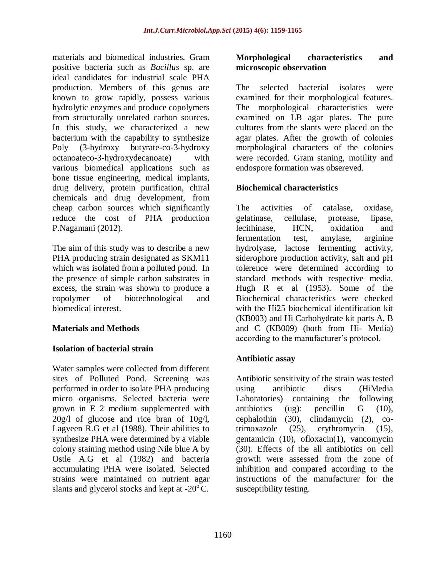materials and biomedical industries. Gram positive bacteria such as *Bacillus* sp. are ideal candidates for industrial scale PHA production. Members of this genus are known to grow rapidly, possess various hydrolytic enzymes and produce copolymers from structurally unrelated carbon sources. In this study, we characterized a new bacterium with the capability to synthesize Poly (3-hydroxy butyrate-co-3-hydroxy octanoateco-3-hydroxydecanoate) with various biomedical applications such as bone tissue engineering, medical implants, drug delivery, protein purification, chiral chemicals and drug development, from cheap carbon sources which significantly reduce the cost of PHA production P.Nagamani (2012).

The aim of this study was to describe a new PHA producing strain designated as SKM11 which was isolated from a polluted pond. In the presence of simple carbon substrates in excess, the strain was shown to produce a copolymer of biotechnological and biomedical interest.

### **Materials and Methods**

### **Isolation of bacterial strain**

Water samples were collected from different sites of Polluted Pond. Screening was performed in order to isolate PHA producing micro organisms. Selected bacteria were grown in E 2 medium supplemented with 20g/l of glucose and rice bran of 10g/l, Lagveen R.G et al (1988). Their abilities to synthesize PHA were determined by a viable colony staining method using Nile blue A by Ostle A.G et al (1982) and bacteria accumulating PHA were isolated. Selected strains were maintained on nutrient agar slants and glycerol stocks and kept at  $-20^{\circ}$ C.

#### **Morphological characteristics and microscopic observation**

The selected bacterial isolates were examined for their morphological features. The morphological characteristics were examined on LB agar plates. The pure cultures from the slants were placed on the agar plates. After the growth of colonies morphological characters of the colonies were recorded. Gram staning, motility and endospore formation was obsereved.

### **Biochemical characteristics**

The activities of catalase, oxidase, gelatinase, cellulase, protease, lipase, lecithinase, HCN, oxidation and fermentation test, amylase, arginine hydrolyase, lactose fermenting activity, siderophore production activity, salt and pH tolerence were determined according to standard methods with respective media, Hugh R et al (1953). Some of the Biochemical characteristics were checked with the Hi25 biochemical identification kit (KB003) and Hi Carbohydrate kit parts A, B and C (KB009) (both from Hi- Media) according to the manufacturer's protocol.

### **Antibiotic assay**

Antibiotic sensitivity of the strain was tested using antibiotic discs (HiMedia Laboratories) containing the following antibiotics (ug): pencillin G (10), cephalothin (30), clindamycin (2), cotrimoxazole (25), erythromycin (15), gentamicin (10), ofloxacin(1), vancomycin (30). Effects of the all antibiotics on cell growth were assessed from the zone of inhibition and compared according to the instructions of the manufacturer for the susceptibility testing.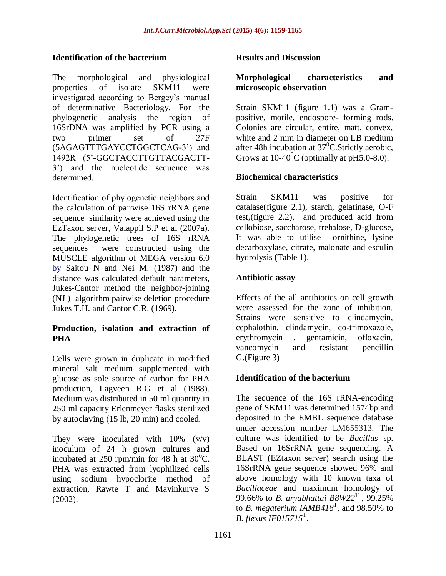#### **Identification of the bacterium**

The morphological and physiological properties of isolate SKM11 were investigated according to Bergey's manual of determinative Bacteriology. For the phylogenetic analysis the region of 16SrDNA was amplified by PCR using a two primer set of 27F (5AGAGTTTGAYCCTGGCTCAG-3') and 1492R (5'-GGCTACCTTGTTACGACTT-3') and the nucleotide sequence was determined.

Identification of phylogenetic neighbors and the calculation of pairwise 16S rRNA gene sequence similarity were achieved using the EzTaxon server, Valappil S.P et al (2007a). The phylogenetic trees of 16S rRNA sequences were constructed using the MUSCLE algorithm of MEGA version 6.0 by Saitou N and Nei M. (1987) and the distance was calculated default parameters, Jukes-Cantor method the neighbor-joining (NJ ) algorithm pairwise deletion procedure Jukes T.H. and Cantor C.R. (1969).

### **Production, isolation and extraction of PHA**

Cells were grown in duplicate in modified mineral salt medium supplemented with glucose as sole source of carbon for PHA production, Lagveen R.G et al (1988). Medium was distributed in 50 ml quantity in 250 ml capacity Erlenmeyer flasks sterilized by autoclaving (15 lb, 20 min) and cooled.

They were inoculated with  $10\%$  (v/v) inoculum of 24 h grown cultures and incubated at 250 rpm/min for 48 h at  $30^0$ C. PHA was extracted from lyophilized cells using sodium hypoclorite method of extraction, Rawte T and Mavinkurve S (2002).

#### **Results and Discussion**

#### **Morphological characteristics and microscopic observation**

Strain SKM11 (figure 1.1) was a Grampositive, motile, endospore- forming rods. Colonies are circular, entire, matt, convex, white and 2 mm in diameter on LB medium after 48h incubation at  $37^0$ C. Strictly aerobic, Grows at  $10-40^{\circ}$ C (optimally at pH5.0-8.0).

#### **Biochemical characteristics**

Strain SKM11 was positive for catalase(figure 2.1), starch, gelatinase, O-F test,(figure 2.2), and produced acid from cellobiose, saccharose, trehalose, D-glucose, It was able to utilise ornithine, lysine decarboxylase, citrate, malonate and esculin hydrolysis (Table 1).

#### **Antibiotic assay**

Effects of the all antibiotics on cell growth were assessed for the zone of inhibition. Strains were sensitive to clindamycin, cephalothin, clindamycin, co-trimoxazole, erythromycin , gentamicin, ofloxacin, vancomycin and resistant pencillin G.(Figure 3)

# **Identification of the bacterium**

The sequence of the 16S rRNA-encoding gene of SKM11 was determined 1574bp and deposited in the EMBL sequence database under accession number LM655313. The culture was identified to be *Bacillus* sp. Based on 16SrRNA gene sequencing. A BLAST (EZtaxon server) search using the 16SrRNA gene sequence showed 96% and above homology with 10 known taxa of *Bacillaceae* and maximum homology of 99.66% to *B. aryabhattai B8W22*<sup>T</sup> , 99.25% to *B. megaterium IAMB418*<sup>T</sup> , and 98.50% to *B. flexus IF015715*<sup>T</sup> .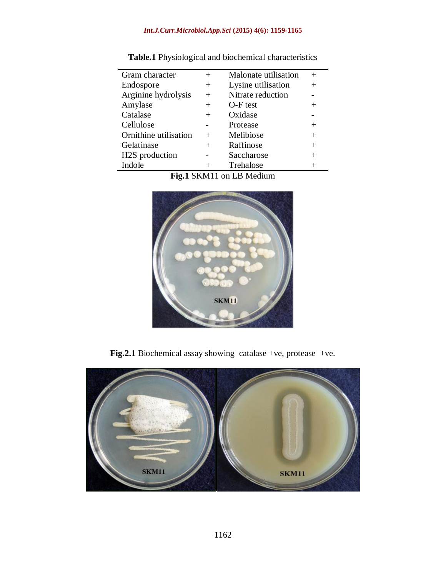### *Int.J.Curr.Microbiol.App.Sci* **(2015) 4(6): 1159-1165**

| Gram character        | $^{+}$ | Malonate utilisation |        |
|-----------------------|--------|----------------------|--------|
| Endospore             | $\pm$  | Lysine utilisation   |        |
| Arginine hydrolysis   | $^{+}$ | Nitrate reduction    |        |
| Amylase               | $^{+}$ | O-F test             | $^{+}$ |
| Catalase              | $^{+}$ | Oxidase              |        |
| Cellulose             |        | Protease             | $^{+}$ |
| Ornithine utilisation | $^{+}$ | Melibiose            | $+$    |
| Gelatinase            | $^{+}$ | Raffinose            | $+$    |
| H2S production        |        | Saccharose           | $+$    |
| Indole                | $^{+}$ | Trehalose            | $\, +$ |
|                       |        |                      |        |

**Table.1** Physiological and biochemical characteristics

**Fig.1** SKM11 on LB Medium



**Fig.2.1** Biochemical assay showing catalase +ve, protease +ve.

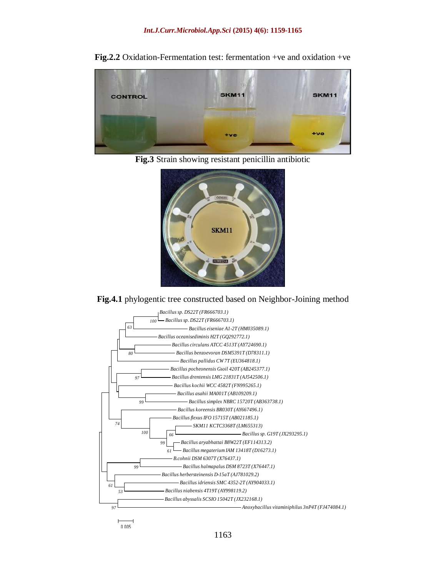

**Fig.2.2** Oxidation-Fermentation test: fermentation +ve and oxidation +ve

**Fig.3** Strain showing resistant penicillin antibiotic



**Fig.4.1** phylogentic tree constructed based on Neighbor-Joining method



 $0.005$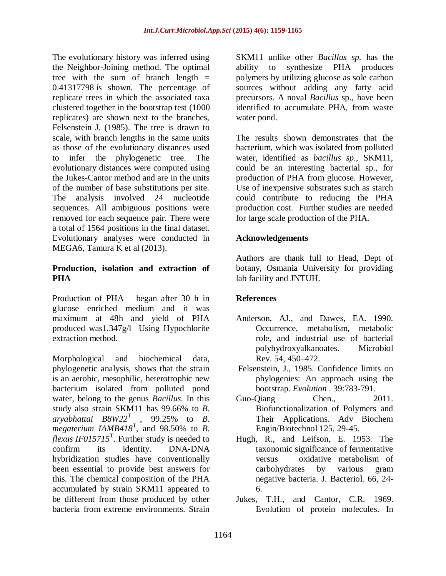The evolutionary history was inferred using the Neighbor-Joining method. The optimal tree with the sum of branch length  $=$ 0.41317798 is shown. The percentage of replicate trees in which the associated taxa clustered together in the bootstrap test (1000 replicates) are shown next to the branches, Felsenstein J. (1985). The tree is drawn to scale, with branch lengths in the same units as those of the evolutionary distances used to infer the phylogenetic tree. The evolutionary distances were computed using the Jukes-Cantor method and are in the units of the number of base substitutions per site. The analysis involved 24 nucleotide sequences. All ambiguous positions were removed for each sequence pair. There were a total of 1564 positions in the final dataset. Evolutionary analyses were conducted in MEGA6, Tamura K et al (2013).

### **Production, isolation and extraction of PHA**

Production of PHA began after 30 h in glucose enriched medium and it was maximum at 48h and yield of PHA produced was1.347g/l Using Hypochlorite extraction method.

Morphological and biochemical data, phylogenetic analysis, shows that the strain is an aerobic, mesophilic, heterotrophic new bacterium isolated from polluted pond water, belong to the genus *Bacillus.* In this study also strain SKM11 has 99.66% to *B.*   $aryabhattai$   $B8W22^T$  , 99.25% to *B*. *megaterium IAMB418*<sup>T</sup> , and 98.50% to *B. flexus IF015715*<sup>T</sup> . Further study is needed to confirm its identity. DNA-DNA hybridization studies have conventionally been essential to provide best answers for this. The chemical composition of the PHA accumulated by strain SKM11 appeared to be different from those produced by other bacteria from extreme environments. Strain

SKM11 unlike other *Bacillus sp.* has the ability to synthesize PHA produces polymers by utilizing glucose as sole carbon sources without adding any fatty acid precursors. A noval *Bacillus* sp., have been identified to accumulate PHA, from waste water pond.

The results shown demonstrates that the bacterium, which was isolated from polluted water, identified as *bacillus sp.,* SKM11, could be an interesting bacterial sp., for production of PHA from glucose. However, Use of inexpensive substrates such as starch could contribute to reducing the PHA production cost. Further studies are needed for large scale production of the PHA.

### **Acknowledgements**

Authors are thank full to Head, Dept of botany, Osmania University for providing lab facility and JNTUH.

# **References**

- Anderson, AJ., and Dawes, EA. 1990. Occurrence, metabolism, metabolic role, and industrial use of bacterial polyhydroxyalkanoates. Microbiol Rev. 54, 450–472.
- Felsenstein, J., 1985. Confidence limits on phylogenies: An approach using the bootstrap. *Evolution* . 39:783-791.
- Guo-Oiang Chen.. 2011. Biofunctionalization of Polymers and Their Applications. Adv Biochem Engin/Biotechnol 125, 29-45.
- Hugh, R., and Leifson, E. 1953. The taxonomic significance of fermentative versus oxidative metabolism of carbohydrates by various gram negative bacteria. J. Bacteriol. 66, 24- 6.
- Jukes, T.H., and Cantor, C.R. 1969. Evolution of protein molecules. In